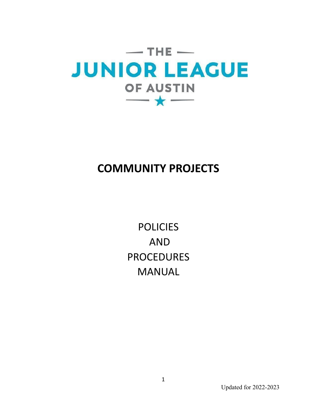

## **COMMUNITY PROJECTS**

**POLICIES** AND PROCEDURES MANUAL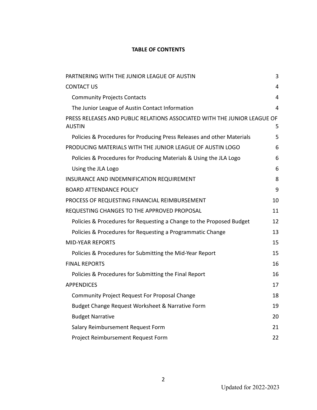### **TABLE OF CONTENTS**

| PARTNERING WITH THE JUNIOR LEAGUE OF AUSTIN                                               | 3  |
|-------------------------------------------------------------------------------------------|----|
| <b>CONTACT US</b>                                                                         | 4  |
| <b>Community Projects Contacts</b>                                                        | 4  |
| The Junior League of Austin Contact Information                                           | 4  |
| PRESS RELEASES AND PUBLIC RELATIONS ASSOCIATED WITH THE JUNIOR LEAGUE OF<br><b>AUSTIN</b> | 5  |
| Policies & Procedures for Producing Press Releases and other Materials                    | 5  |
| PRODUCING MATERIALS WITH THE JUNIOR LEAGUE OF AUSTIN LOGO                                 | 6  |
| Policies & Procedures for Producing Materials & Using the JLA Logo                        | 6  |
| Using the JLA Logo                                                                        | 6  |
| INSURANCE AND INDEMNIFICATION REQUIREMENT                                                 | 8  |
| <b>BOARD ATTENDANCE POLICY</b>                                                            | 9  |
| PROCESS OF REQUESTING FINANCIAL REIMBURSEMENT                                             | 10 |
| REQUESTING CHANGES TO THE APPROVED PROPOSAL                                               | 11 |
| Policies & Procedures for Requesting a Change to the Proposed Budget                      | 12 |
| Policies & Procedures for Requesting a Programmatic Change                                | 13 |
| <b>MID-YEAR REPORTS</b>                                                                   | 15 |
| Policies & Procedures for Submitting the Mid-Year Report                                  | 15 |
| <b>FINAL REPORTS</b>                                                                      | 16 |
| Policies & Procedures for Submitting the Final Report                                     | 16 |
| <b>APPENDICES</b>                                                                         | 17 |
| Community Project Request For Proposal Change                                             | 18 |
| Budget Change Request Worksheet & Narrative Form                                          | 19 |
| <b>Budget Narrative</b>                                                                   | 20 |
| Salary Reimbursement Request Form                                                         | 21 |
| Project Reimbursement Request Form                                                        | 22 |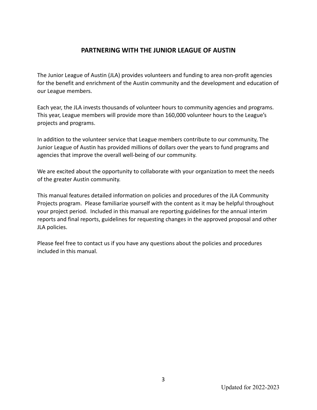## **PARTNERING WITH THE JUNIOR LEAGUE OF AUSTIN**

The Junior League of Austin (JLA) provides volunteers and funding to area non-profit agencies for the benefit and enrichment of the Austin community and the development and education of our League members.

Each year, the JLA invests thousands of volunteer hours to community agencies and programs. This year, League members will provide more than 160,000 volunteer hours to the League's projects and programs.

In addition to the volunteer service that League members contribute to our community, The Junior League of Austin has provided millions of dollars over the years to fund programs and agencies that improve the overall well-being of our community.

We are excited about the opportunity to collaborate with your organization to meet the needs of the greater Austin community.

This manual features detailed information on policies and procedures of the JLA Community Projects program. Please familiarize yourself with the content as it may be helpful throughout your project period. Included in this manual are reporting guidelines for the annual interim reports and final reports, guidelines for requesting changes in the approved proposal and other JLA policies.

Please feel free to contact us if you have any questions about the policies and procedures included in this manual.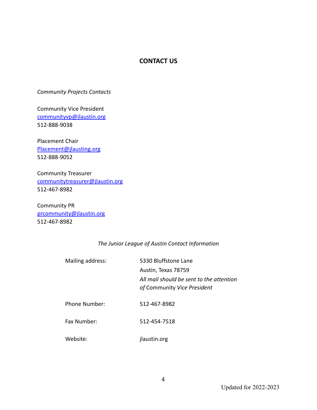#### **CONTACT US**

*Community Projects Contacts*

Community Vice President communityvp@jlaustin.org 512-888-9038

Placement Chair Placement@jlausting.org 512-888-9052

Community Treasurer communitytreasurer@jlaustin.org 512-467-8982

Community PR prcommunity@jlaustin.org 512-467-8982

#### *The Junior League of Austin Contact Information*

| Mailing address: | 5330 Bluffstone Lane<br>Austin, Texas 78759<br>All mail should be sent to the attention<br>of Community Vice President |
|------------------|------------------------------------------------------------------------------------------------------------------------|
| Phone Number:    | 512-467-8982                                                                                                           |
| Fax Number:      | 512-454-7518                                                                                                           |
| Website:         | jlaustin.org                                                                                                           |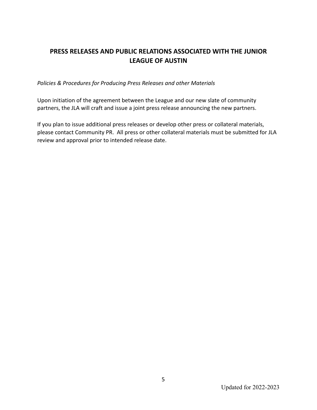## **PRESS RELEASES AND PUBLIC RELATIONS ASSOCIATED WITH THE JUNIOR LEAGUE OF AUSTIN**

*Policies & Procedures for Producing Press Releases and other Materials*

Upon initiation of the agreement between the League and our new slate of community partners, the JLA will craft and issue a joint press release announcing the new partners.

If you plan to issue additional press releases or develop other press or collateral materials, please contact Community PR. All press or other collateral materials must be submitted for JLA review and approval prior to intended release date.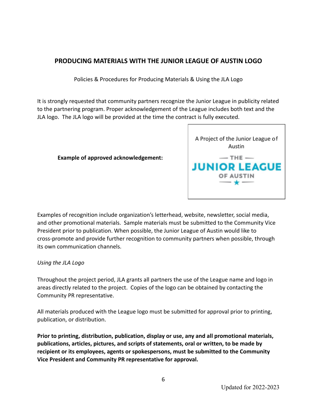## **PRODUCING MATERIALS WITH THE JUNIOR LEAGUE OF AUSTIN LOGO**

Policies & Procedures for Producing Materials & Using the JLA Logo

It is strongly requested that community partners recognize the Junior League in publicity related to the partnering program. Proper acknowledgement of the League includes both text and the JLA logo. The JLA logo will be provided at the time the contract is fully executed.

#### **Example of approved acknowledgement:**



Examples of recognition include organization's letterhead, website, newsletter, social media, and other promotional materials. Sample materials must be submitted to the Community Vice President prior to publication. When possible, the Junior League of Austin would like to cross-promote and provide further recognition to community partners when possible, through its own communication channels.

#### *Using the JLA Logo*

Throughout the project period, JLA grants all partners the use of the League name and logo in areas directly related to the project. Copies of the logo can be obtained by contacting the Community PR representative.

All materials produced with the League logo must be submitted for approval prior to printing, publication, or distribution.

**Prior to printing, distribution, publication, display or use, any and all promotional materials, publications, articles, pictures, and scripts of statements, oral or written, to be made by recipient or its employees, agents or spokespersons, must be submitted to the Community Vice President and Community PR representative for approval.**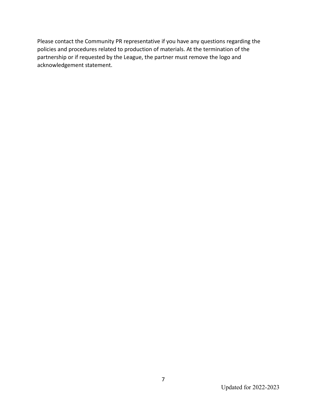Please contact the Community PR representative if you have any questions regarding the policies and procedures related to production of materials. At the termination of the partnership or if requested by the League, the partner must remove the logo and acknowledgement statement.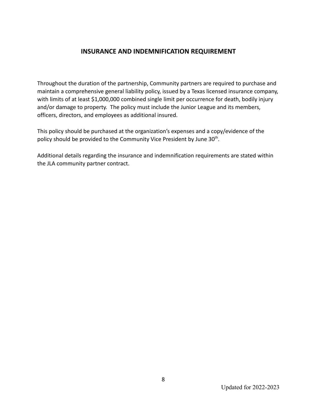#### **INSURANCE AND INDEMNIFICATION REQUIREMENT**

Throughout the duration of the partnership, Community partners are required to purchase and maintain a comprehensive general liability policy, issued by a Texas licensed insurance company, with limits of at least \$1,000,000 combined single limit per occurrence for death, bodily injury and/or damage to property. The policy must include the Junior League and its members, officers, directors, and employees as additional insured.

This policy should be purchased at the organization's expenses and a copy/evidence of the policy should be provided to the Community Vice President by June 30<sup>th</sup>.

Additional details regarding the insurance and indemnification requirements are stated within the JLA community partner contract.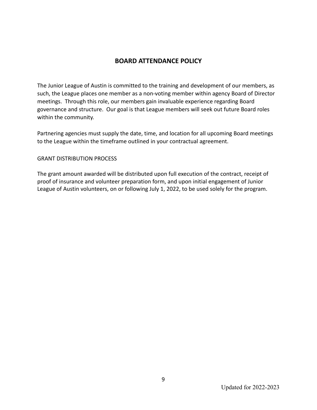### **BOARD ATTENDANCE POLICY**

The Junior League of Austin is committed to the training and development of our members, as such, the League places one member as a non-voting member within agency Board of Director meetings. Through this role, our members gain invaluable experience regarding Board governance and structure. Our goal is that League members will seek out future Board roles within the community.

Partnering agencies must supply the date, time, and location for all upcoming Board meetings to the League within the timeframe outlined in your contractual agreement.

#### GRANT DISTRIBUTION PROCESS

The grant amount awarded will be distributed upon full execution of the contract, receipt of proof of insurance and volunteer preparation form, and upon initial engagement of Junior League of Austin volunteers, on or following July 1, 2022, to be used solely for the program.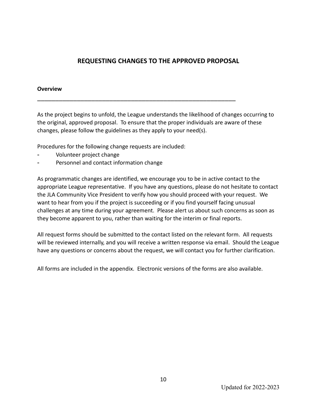## **REQUESTING CHANGES TO THE APPROVED PROPOSAL**

#### **Overview**

As the project begins to unfold, the League understands the likelihood of changes occurring to the original, approved proposal. To ensure that the proper individuals are aware of these changes, please follow the guidelines as they apply to your need(s).

\_\_\_\_\_\_\_\_\_\_\_\_\_\_\_\_\_\_\_\_\_\_\_\_\_\_\_\_\_\_\_\_\_\_\_\_\_\_\_\_\_\_\_\_\_\_\_\_\_\_\_\_\_\_\_

Procedures for the following change requests are included:

- Volunteer project change
- Personnel and contact information change

As programmatic changes are identified, we encourage you to be in active contact to the appropriate League representative. If you have any questions, please do not hesitate to contact the JLA Community Vice President to verify how you should proceed with your request. We want to hear from you if the project is succeeding or if you find yourself facing unusual challenges at any time during your agreement. Please alert us about such concerns as soon as they become apparent to you, rather than waiting for the interim or final reports.

All request forms should be submitted to the contact listed on the relevant form. All requests will be reviewed internally, and you will receive a written response via email. Should the League have any questions or concerns about the request, we will contact you for further clarification.

All forms are included in the appendix. Electronic versions of the forms are also available.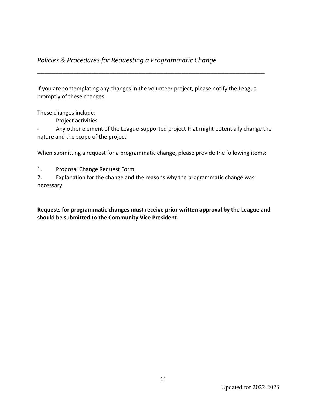## *Policies & Procedures for Requesting a Programmatic Change*

If you are contemplating any changes in the volunteer project, please notify the League promptly of these changes.

**\_\_\_\_\_\_\_\_\_\_\_\_\_\_\_\_\_\_\_\_\_\_\_\_\_\_\_\_\_\_\_\_\_\_\_\_\_\_\_\_\_\_\_\_\_\_\_\_\_\_\_\_\_\_\_\_\_\_\_\_\_\_\_**

These changes include:

Project activities

Any other element of the League-supported project that might potentially change the nature and the scope of the project

When submitting a request for a programmatic change, please provide the following items:

1. Proposal Change Request Form

2. Explanation for the change and the reasons why the programmatic change was necessary

**Requests for programmatic changes must receive prior written approval by the League and should be submitted to the Community Vice President.**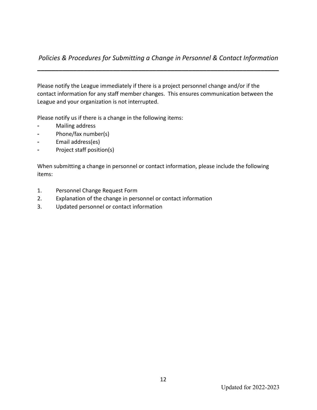## *Policies & Procedures for Submitting a Change in Personnel & Contact Information* **\_\_\_\_\_\_\_\_\_\_\_\_\_\_\_\_\_\_\_\_\_\_\_\_\_\_\_\_\_\_\_\_\_\_\_\_\_\_\_\_\_\_\_\_\_\_\_\_\_\_\_\_\_\_\_\_\_\_\_\_\_\_\_\_\_\_\_**

Please notify the League immediately if there is a project personnel change and/or if the contact information for any staff member changes. This ensures communication between the League and your organization is not interrupted.

Please notify us if there is a change in the following items:

- Mailing address
- Phone/fax number(s)
- Email address(es)
- Project staff position(s)

When submitting a change in personnel or contact information, please include the following items:

- 1. Personnel Change Request Form
- 2. Explanation of the change in personnel or contact information
- 3. Updated personnel or contact information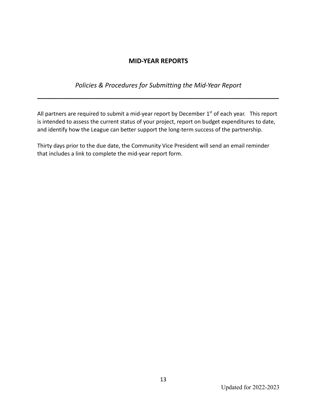## **MID-YEAR REPORTS**

*Policies & Procedures for Submitting the Mid-Year Report*

**\_\_\_\_\_\_\_\_\_\_\_\_\_\_\_\_\_\_\_\_\_\_\_\_\_\_\_\_\_\_\_\_\_\_\_\_\_\_\_\_\_\_\_\_\_\_\_\_\_\_\_\_\_\_\_\_\_\_\_\_\_\_\_\_\_\_\_**

All partners are required to submit a mid-year report by December  $1<sup>st</sup>$  of each year. This report is intended to assess the current status of your project, report on budget expenditures to date, and identify how the League can better support the long-term success of the partnership.

Thirty days prior to the due date, the Community Vice President will send an email reminder that includes a link to complete the mid-year report form.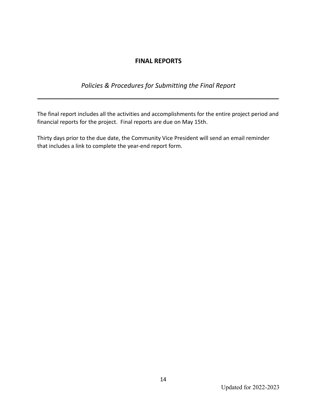## **FINAL REPORTS**

## *Policies & Procedures for Submitting the Final Report*

**\_\_\_\_\_\_\_\_\_\_\_\_\_\_\_\_\_\_\_\_\_\_\_\_\_\_\_\_\_\_\_\_\_\_\_\_\_\_\_\_\_\_\_\_\_\_\_\_\_\_\_\_\_\_\_\_\_\_\_\_\_\_\_\_\_\_\_**

The final report includes all the activities and accomplishments for the entire project period and financial reports for the project. Final reports are due on May 15th.

Thirty days prior to the due date, the Community Vice President will send an email reminder that includes a link to complete the year-end report form.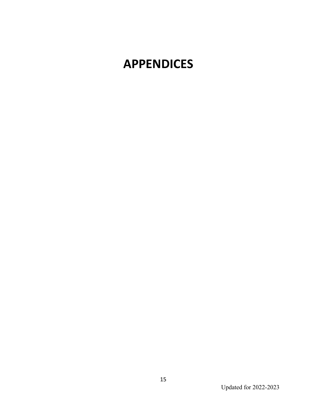# **APPENDICES**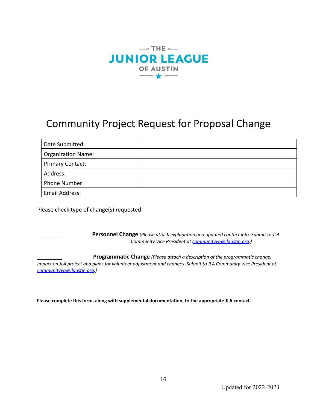

## Community Project Request for Proposal Change

| Date Submitted:           |  |
|---------------------------|--|
| <b>Organization Name:</b> |  |
| <b>Primary Contact:</b>   |  |
| Address:                  |  |
| Phone Number:             |  |
| <b>Email Address:</b>     |  |

Please check type of change(s) requested:

\_\_\_\_\_\_\_\_ **Personnel Change** *(Please attach explanation and updated contact info. Submit to JLA Community Vice President at communityvp@jlaustin.org.)*

\_\_\_\_\_\_\_\_ **Programmatic Change** *(Please attach a description of the programmatic change,* impact on JLA project and plans for volunteer adjustment and changes. Submit to JLA Community Vice President at *communityvp@jlaustin.org.)*

P**lease complete this form, along with supplemental documentation, to the appropriate JLA contact.**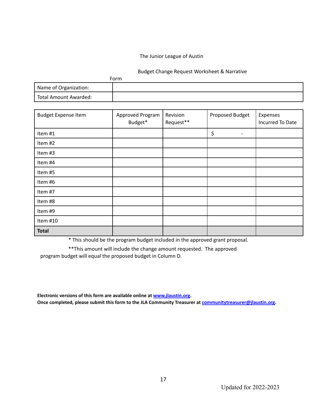#### The Junior League of Austin

#### Budget Change Request Worksheet & Narrative

|                       | Form |
|-----------------------|------|
| Name of Organization: |      |
| Total Amount Awarded: |      |

| <b>Budget Expense Item</b> | Approved Program<br>Budget* | Revision<br>Request** | Proposed Budget | Expenses<br>Incurred To Date |
|----------------------------|-----------------------------|-----------------------|-----------------|------------------------------|
| Item #1                    |                             |                       | \$              |                              |
| Item #2                    |                             |                       |                 |                              |
| Item #3                    |                             |                       |                 |                              |
| Item #4                    |                             |                       |                 |                              |
| Item #5                    |                             |                       |                 |                              |
| Item #6                    |                             |                       |                 |                              |
| Item #7                    |                             |                       |                 |                              |
| Item #8                    |                             |                       |                 |                              |
| Item #9                    |                             |                       |                 |                              |
| Item #10                   |                             |                       |                 |                              |
| <b>Total</b>               |                             |                       |                 |                              |

\* This should be the program budget included in the approved grant proposal.

\*\*This amount will include the change amount requested. The approved program budget will equal the proposed budget in Column D.

**Electronic versions of this form are available online at [www.jlaustin.org.](http://www.jlaustin.org/) Once completed, please submit this form to the JLA Community Treasurer at communitytreasurer@jlaustin.org.**